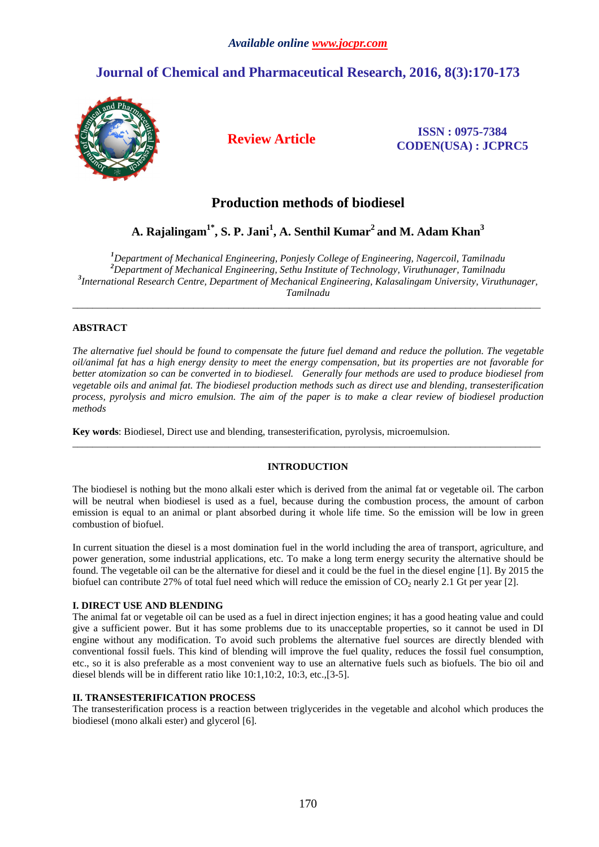# **Journal of Chemical and Pharmaceutical Research, 2016, 8(3):170-173**



**Review Article ISSN : 0975-7384 CODEN(USA) : JCPRC5**

## **Production methods of biodiesel**

## **A. Rajalingam1\*, S. P. Jani<sup>1</sup> , A. Senthil Kumar<sup>2</sup>and M. Adam Khan<sup>3</sup>**

*Department of Mechanical Engineering, Ponjesly College of Engineering, Nagercoil, Tamilnadu Department of Mechanical Engineering, Sethu Institute of Technology, Viruthunager, Tamilnadu International Research Centre, Department of Mechanical Engineering, Kalasalingam University, Viruthunager, Tamilnadu* 

\_\_\_\_\_\_\_\_\_\_\_\_\_\_\_\_\_\_\_\_\_\_\_\_\_\_\_\_\_\_\_\_\_\_\_\_\_\_\_\_\_\_\_\_\_\_\_\_\_\_\_\_\_\_\_\_\_\_\_\_\_\_\_\_\_\_\_\_\_\_\_\_\_\_\_\_\_\_\_\_\_\_\_\_\_\_\_\_\_\_\_\_\_

## **ABSTRACT**

*The alternative fuel should be found to compensate the future fuel demand and reduce the pollution. The vegetable oil/animal fat has a high energy density to meet the energy compensation, but its properties are not favorable for better atomization so can be converted in to biodiesel. Generally four methods are used to produce biodiesel from vegetable oils and animal fat. The biodiesel production methods such as direct use and blending, transesterification process, pyrolysis and micro emulsion. The aim of the paper is to make a clear review of biodiesel production methods* 

**Key words**: Biodiesel, Direct use and blending, transesterification, pyrolysis, microemulsion.

## **INTRODUCTION**

\_\_\_\_\_\_\_\_\_\_\_\_\_\_\_\_\_\_\_\_\_\_\_\_\_\_\_\_\_\_\_\_\_\_\_\_\_\_\_\_\_\_\_\_\_\_\_\_\_\_\_\_\_\_\_\_\_\_\_\_\_\_\_\_\_\_\_\_\_\_\_\_\_\_\_\_\_\_\_\_\_\_\_\_\_\_\_\_\_\_\_\_\_

The biodiesel is nothing but the mono alkali ester which is derived from the animal fat or vegetable oil. The carbon will be neutral when biodiesel is used as a fuel, because during the combustion process, the amount of carbon emission is equal to an animal or plant absorbed during it whole life time. So the emission will be low in green combustion of biofuel.

In current situation the diesel is a most domination fuel in the world including the area of transport, agriculture, and power generation, some industrial applications, etc. To make a long term energy security the alternative should be found. The vegetable oil can be the alternative for diesel and it could be the fuel in the diesel engine [1]. By 2015 the biofuel can contribute 27% of total fuel need which will reduce the emission of  $CO<sub>2</sub>$  nearly 2.1 Gt per year [2].

## **I. DIRECT USE AND BLENDING**

The animal fat or vegetable oil can be used as a fuel in direct injection engines; it has a good heating value and could give a sufficient power. But it has some problems due to its unacceptable properties, so it cannot be used in DI engine without any modification. To avoid such problems the alternative fuel sources are directly blended with conventional fossil fuels. This kind of blending will improve the fuel quality, reduces the fossil fuel consumption, etc., so it is also preferable as a most convenient way to use an alternative fuels such as biofuels. The bio oil and diesel blends will be in different ratio like 10:1,10:2, 10:3, etc.,[3-5].

## **II. TRANSESTERIFICATION PROCESS**

The transesterification process is a reaction between triglycerides in the vegetable and alcohol which produces the biodiesel (mono alkali ester) and glycerol [6].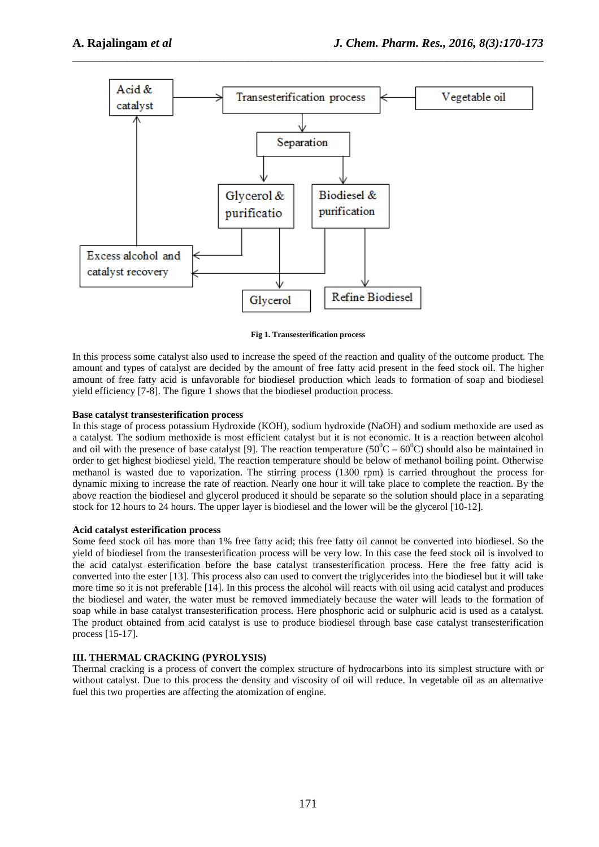

\_\_\_\_\_\_\_\_\_\_\_\_\_\_\_\_\_\_\_\_\_\_\_\_\_\_\_\_\_\_\_\_\_\_\_\_\_\_\_\_\_\_\_\_\_\_\_\_\_\_\_\_\_\_\_\_\_\_\_\_\_\_\_\_\_\_\_\_\_\_\_\_\_\_\_\_\_\_

**Fig 1. Transesterification process** 

In this process some catalyst also used to increase the speed of the reaction and quality of the outcome product. The amount and types of catalyst are decided by the amount of free fatty acid present in the feed stock oil. The higher amount of free fatty acid is unfavorable for biodiesel production which leads to formation of soap and biodiesel yield efficiency [7-8]. The figure 1 shows that the biodiesel production process.

#### **Base catalyst transesterification process**

In this stage of process potassium Hydroxide (KOH), sodium hydroxide (NaOH) and sodium methoxide are used as a catalyst. The sodium methoxide is most efficient catalyst but it is not economic. It is a reaction between alcohol and oil with the presence of base catalyst [9]. The reaction temperature ( $50^{\circ}C - 60^{\circ}C$ ) should also be maintained in order to get highest biodiesel yield. The reaction temperature should be below of methanol boiling point. Otherwise methanol is wasted due to vaporization. The stirring process (1300 rpm) is carried throughout the process for dynamic mixing to increase the rate of reaction. Nearly one hour it will take place to complete the reaction. By the above reaction the biodiesel and glycerol produced it should be separate so the solution should place in a separating stock for 12 hours to 24 hours. The upper layer is biodiesel and the lower will be the glycerol [10-12].

## **Acid catalyst esterification process**

Some feed stock oil has more than 1% free fatty acid; this free fatty oil cannot be converted into biodiesel. So the yield of biodiesel from the transesterification process will be very low. In this case the feed stock oil is involved to the acid catalyst esterification before the base catalyst transesterification process. Here the free fatty acid is converted into the ester [13]. This process also can used to convert the triglycerides into the biodiesel but it will take more time so it is not preferable [14]. In this process the alcohol will reacts with oil using acid catalyst and produces the biodiesel and water, the water must be removed immediately because the water will leads to the formation of soap while in base catalyst transesterification process. Here phosphoric acid or sulphuric acid is used as a catalyst. The product obtained from acid catalyst is use to produce biodiesel through base case catalyst transesterification process [15-17].

## **III. THERMAL CRACKING (PYROLYSIS)**

Thermal cracking is a process of convert the complex structure of hydrocarbons into its simplest structure with or without catalyst. Due to this process the density and viscosity of oil will reduce. In vegetable oil as an alternative fuel this two properties are affecting the atomization of engine.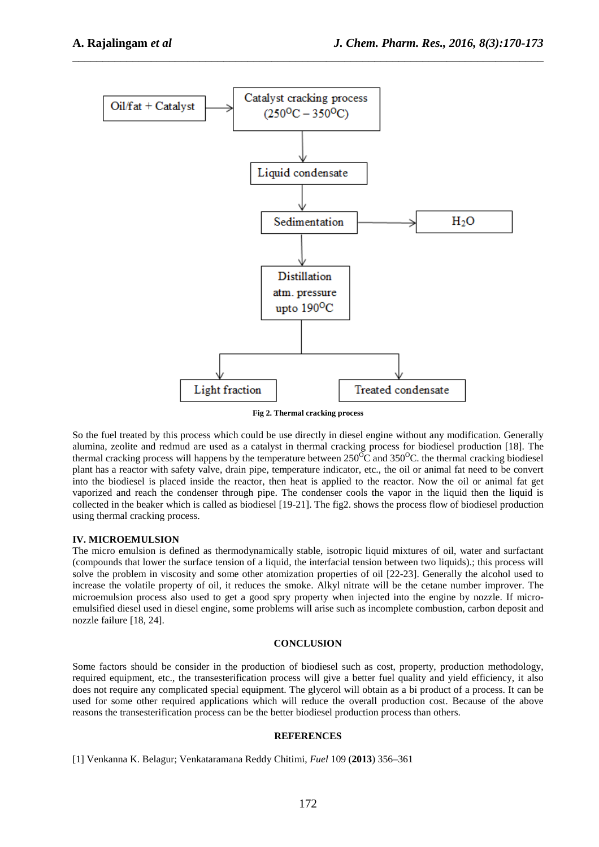

\_\_\_\_\_\_\_\_\_\_\_\_\_\_\_\_\_\_\_\_\_\_\_\_\_\_\_\_\_\_\_\_\_\_\_\_\_\_\_\_\_\_\_\_\_\_\_\_\_\_\_\_\_\_\_\_\_\_\_\_\_\_\_\_\_\_\_\_\_\_\_\_\_\_\_\_\_\_

**Fig 2. Thermal cracking process** 

So the fuel treated by this process which could be use directly in diesel engine without any modification. Generally alumina, zeolite and redmud are used as a catalyst in thermal cracking process for biodiesel production [18]. The thermal cracking process will happens by the temperature between  $250^{\circ}$ C and  $350^{\circ}$ C. the thermal cracking biodiesel plant has a reactor with safety valve, drain pipe, temperature indicator, etc., the oil or animal fat need to be convert into the biodiesel is placed inside the reactor, then heat is applied to the reactor. Now the oil or animal fat get vaporized and reach the condenser through pipe. The condenser cools the vapor in the liquid then the liquid is collected in the beaker which is called as biodiesel [19-21]. The fig2. shows the process flow of biodiesel production using thermal cracking process.

#### **IV. MICROEMULSION**

The micro emulsion is defined as thermodynamically stable, isotropic liquid mixtures of oil, water and surfactant (compounds that lower the surface tension of a liquid, the interfacial tension between two liquids).; this process will solve the problem in viscosity and some other atomization properties of oil [22-23]. Generally the alcohol used to increase the volatile property of oil, it reduces the smoke. Alkyl nitrate will be the cetane number improver. The microemulsion process also used to get a good spry property when injected into the engine by nozzle. If microemulsified diesel used in diesel engine, some problems will arise such as incomplete combustion, carbon deposit and nozzle failure [18, 24].

#### **CONCLUSION**

Some factors should be consider in the production of biodiesel such as cost, property, production methodology, required equipment, etc., the transesterification process will give a better fuel quality and yield efficiency, it also does not require any complicated special equipment. The glycerol will obtain as a bi product of a process. It can be used for some other required applications which will reduce the overall production cost. Because of the above reasons the transesterification process can be the better biodiesel production process than others.

#### **REFERENCES**

[1] Venkanna K. Belagur; Venkataramana Reddy Chitimi, *Fuel* 109 (**2013**) 356–361